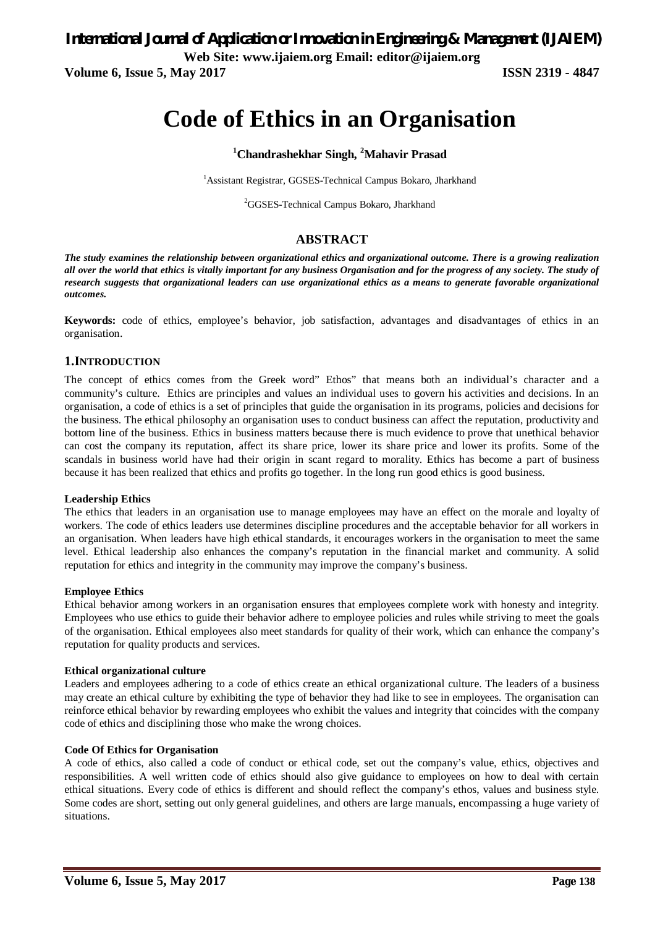*International Journal of Application or Innovation in Engineering & Management (IJAIEM)* **Web Site: www.ijaiem.org Email: editor@ijaiem.org**

**Volume 6, Issue 5, May 2017 ISSN 2319 - 4847** 

# **Code of Ethics in an Organisation**

### **<sup>1</sup>Chandrashekhar Singh, <sup>2</sup>Mahavir Prasad**

<sup>1</sup> Assistant Registrar, GGSES-Technical Campus Bokaro, Jharkhand

<sup>2</sup>GGSES-Technical Campus Bokaro, Jharkhand

#### **ABSTRACT**

*The study examines the relationship between organizational ethics and organizational outcome. There is a growing realization all over the world that ethics is vitally important for any business Organisation and for the progress of any society. The study of research suggests that organizational leaders can use organizational ethics as a means to generate favorable organizational outcomes.*

**Keywords:** code of ethics, employee's behavior, job satisfaction, advantages and disadvantages of ethics in an organisation.

#### **1.INTRODUCTION**

The concept of ethics comes from the Greek word" Ethos" that means both an individual's character and a community's culture. Ethics are principles and values an individual uses to govern his activities and decisions. In an organisation, a code of ethics is a set of principles that guide the organisation in its programs, policies and decisions for the business. The ethical philosophy an organisation uses to conduct business can affect the reputation, productivity and bottom line of the business. Ethics in business matters because there is much evidence to prove that unethical behavior can cost the company its reputation, affect its share price, lower its share price and lower its profits. Some of the scandals in business world have had their origin in scant regard to morality. Ethics has become a part of business because it has been realized that ethics and profits go together. In the long run good ethics is good business.

#### **Leadership Ethics**

The ethics that leaders in an organisation use to manage employees may have an effect on the morale and loyalty of workers. The code of ethics leaders use determines discipline procedures and the acceptable behavior for all workers in an organisation. When leaders have high ethical standards, it encourages workers in the organisation to meet the same level. Ethical leadership also enhances the company's reputation in the financial market and community. A solid reputation for ethics and integrity in the community may improve the company's business.

#### **Employee Ethics**

Ethical behavior among workers in an organisation ensures that employees complete work with honesty and integrity. Employees who use ethics to guide their behavior adhere to employee policies and rules while striving to meet the goals of the organisation. Ethical employees also meet standards for quality of their work, which can enhance the company's reputation for quality products and services.

#### **Ethical organizational culture**

Leaders and employees adhering to a code of ethics create an ethical organizational culture. The leaders of a business may create an ethical culture by exhibiting the type of behavior they had like to see in employees. The organisation can reinforce ethical behavior by rewarding employees who exhibit the values and integrity that coincides with the company code of ethics and disciplining those who make the wrong choices.

#### **Code Of Ethics for Organisation**

A code of ethics, also called a code of conduct or ethical code, set out the company's value, ethics, objectives and responsibilities. A well written code of ethics should also give guidance to employees on how to deal with certain ethical situations. Every code of ethics is different and should reflect the company's ethos, values and business style. Some codes are short, setting out only general guidelines, and others are large manuals, encompassing a huge variety of situations.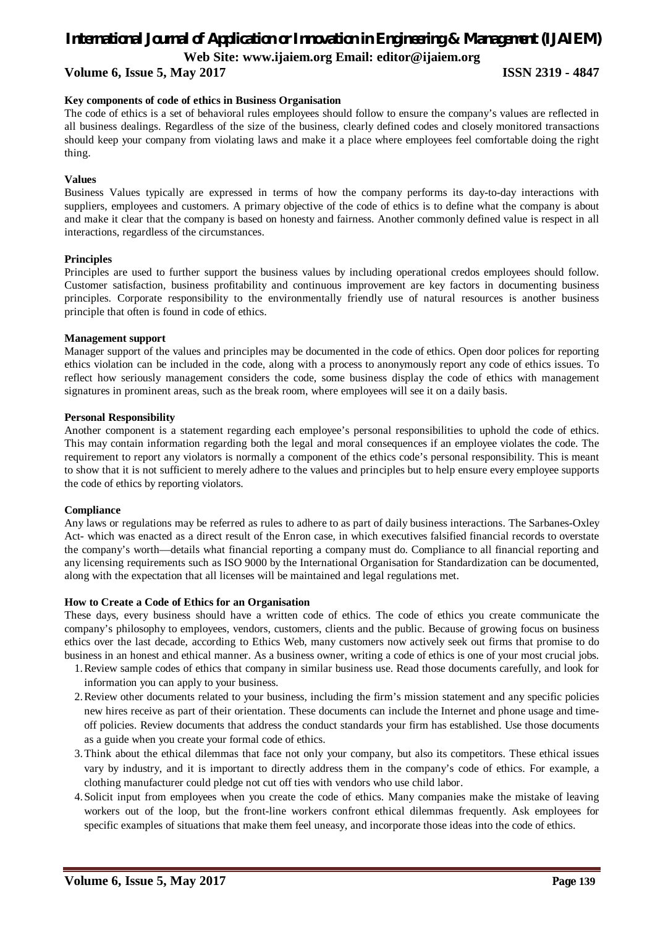# *International Journal of Application or Innovation in Engineering & Management (IJAIEM)*

**Web Site: www.ijaiem.org Email: editor@ijaiem.org**

**Volume 6, Issue 5, May 2017 ISSN 2319 - 4847**

#### **Key components of code of ethics in Business Organisation**

The code of ethics is a set of behavioral rules employees should follow to ensure the company's values are reflected in all business dealings. Regardless of the size of the business, clearly defined codes and closely monitored transactions should keep your company from violating laws and make it a place where employees feel comfortable doing the right thing.

#### **Values**

Business Values typically are expressed in terms of how the company performs its day-to-day interactions with suppliers, employees and customers. A primary objective of the code of ethics is to define what the company is about and make it clear that the company is based on honesty and fairness. Another commonly defined value is respect in all interactions, regardless of the circumstances.

#### **Principles**

Principles are used to further support the business values by including operational credos employees should follow. Customer satisfaction, business profitability and continuous improvement are key factors in documenting business principles. Corporate responsibility to the environmentally friendly use of natural resources is another business principle that often is found in code of ethics.

#### **Management support**

Manager support of the values and principles may be documented in the code of ethics. Open door polices for reporting ethics violation can be included in the code, along with a process to anonymously report any code of ethics issues. To reflect how seriously management considers the code, some business display the code of ethics with management signatures in prominent areas, such as the break room, where employees will see it on a daily basis.

#### **Personal Responsibility**

Another component is a statement regarding each employee's personal responsibilities to uphold the code of ethics. This may contain information regarding both the legal and moral consequences if an employee violates the code. The requirement to report any violators is normally a component of the ethics code's personal responsibility. This is meant to show that it is not sufficient to merely adhere to the values and principles but to help ensure every employee supports the code of ethics by reporting violators.

#### **Compliance**

Any laws or regulations may be referred as rules to adhere to as part of daily business interactions. The Sarbanes-Oxley Act- which was enacted as a direct result of the Enron case, in which executives falsified financial records to overstate the company's worth—details what financial reporting a company must do. Compliance to all financial reporting and any licensing requirements such as ISO 9000 by the International Organisation for Standardization can be documented, along with the expectation that all licenses will be maintained and legal regulations met.

#### **How to Create a Code of Ethics for an Organisation**

These days, every business should have a written code of ethics. The code of ethics you create communicate the company's philosophy to employees, vendors, customers, clients and the public. Because of growing focus on business ethics over the last decade, according to Ethics Web, many customers now actively seek out firms that promise to do business in an honest and ethical manner. As a business owner, writing a code of ethics is one of your most crucial jobs.

- 1.Review sample codes of ethics that company in similar business use. Read those documents carefully, and look for information you can apply to your business.
- 2.Review other documents related to your business, including the firm's mission statement and any specific policies new hires receive as part of their orientation. These documents can include the Internet and phone usage and timeoff policies. Review documents that address the conduct standards your firm has established. Use those documents as a guide when you create your formal code of ethics.
- 3.Think about the ethical dilemmas that face not only your company, but also its competitors. These ethical issues vary by industry, and it is important to directly address them in the company's code of ethics. For example, a clothing manufacturer could pledge not cut off ties with vendors who use child labor.
- 4.Solicit input from employees when you create the code of ethics. Many companies make the mistake of leaving workers out of the loop, but the front-line workers confront ethical dilemmas frequently. Ask employees for specific examples of situations that make them feel uneasy, and incorporate those ideas into the code of ethics.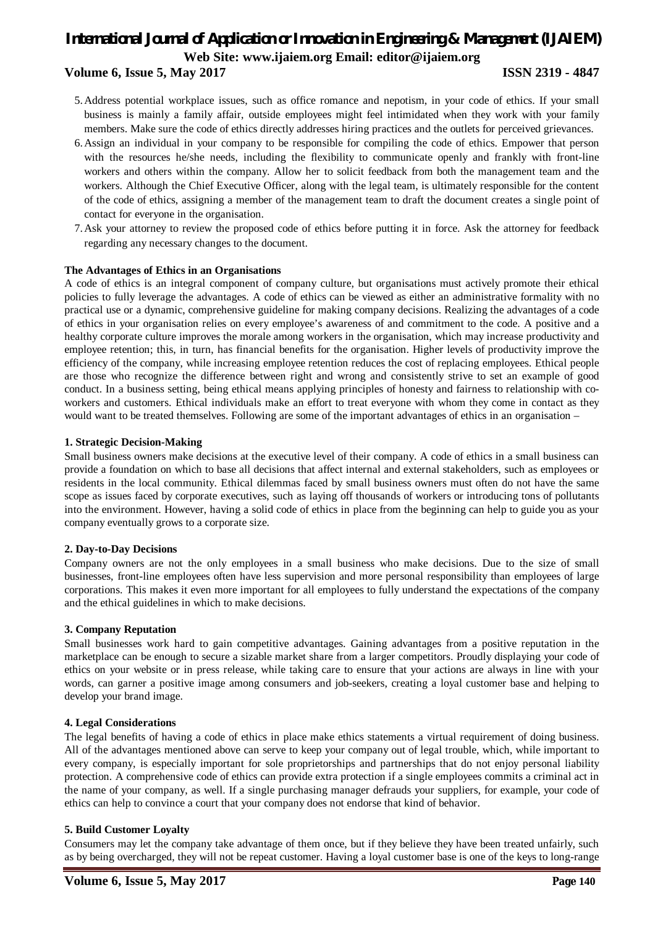## *International Journal of Application or Innovation in Engineering & Management (IJAIEM)* **Web Site: www.ijaiem.org Email: editor@ijaiem.org Volume 6, Issue 5, May 2017 ISSN 2319 - 4847**

- 5.Address potential workplace issues, such as office romance and nepotism, in your code of ethics. If your small business is mainly a family affair, outside employees might feel intimidated when they work with your family members. Make sure the code of ethics directly addresses hiring practices and the outlets for perceived grievances.
- 6.Assign an individual in your company to be responsible for compiling the code of ethics. Empower that person with the resources he/she needs, including the flexibility to communicate openly and frankly with front-line workers and others within the company. Allow her to solicit feedback from both the management team and the workers. Although the Chief Executive Officer, along with the legal team, is ultimately responsible for the content of the code of ethics, assigning a member of the management team to draft the document creates a single point of contact for everyone in the organisation.
- 7.Ask your attorney to review the proposed code of ethics before putting it in force. Ask the attorney for feedback regarding any necessary changes to the document.

#### **The Advantages of Ethics in an Organisations**

A code of ethics is an integral component of company culture, but organisations must actively promote their ethical policies to fully leverage the advantages. A code of ethics can be viewed as either an administrative formality with no practical use or a dynamic, comprehensive guideline for making company decisions. Realizing the advantages of a code of ethics in your organisation relies on every employee's awareness of and commitment to the code. A positive and a healthy corporate culture improves the morale among workers in the organisation, which may increase productivity and employee retention; this, in turn, has financial benefits for the organisation. Higher levels of productivity improve the efficiency of the company, while increasing employee retention reduces the cost of replacing employees. Ethical people are those who recognize the difference between right and wrong and consistently strive to set an example of good conduct. In a business setting, being ethical means applying principles of honesty and fairness to relationship with coworkers and customers. Ethical individuals make an effort to treat everyone with whom they come in contact as they would want to be treated themselves. Following are some of the important advantages of ethics in an organisation –

#### **1. Strategic Decision-Making**

Small business owners make decisions at the executive level of their company. A code of ethics in a small business can provide a foundation on which to base all decisions that affect internal and external stakeholders, such as employees or residents in the local community. Ethical dilemmas faced by small business owners must often do not have the same scope as issues faced by corporate executives, such as laying off thousands of workers or introducing tons of pollutants into the environment. However, having a solid code of ethics in place from the beginning can help to guide you as your company eventually grows to a corporate size.

#### **2. Day-to-Day Decisions**

Company owners are not the only employees in a small business who make decisions. Due to the size of small businesses, front-line employees often have less supervision and more personal responsibility than employees of large corporations. This makes it even more important for all employees to fully understand the expectations of the company and the ethical guidelines in which to make decisions.

#### **3. Company Reputation**

Small businesses work hard to gain competitive advantages. Gaining advantages from a positive reputation in the marketplace can be enough to secure a sizable market share from a larger competitors. Proudly displaying your code of ethics on your website or in press release, while taking care to ensure that your actions are always in line with your words, can garner a positive image among consumers and job-seekers, creating a loyal customer base and helping to develop your brand image.

#### **4. Legal Considerations**

The legal benefits of having a code of ethics in place make ethics statements a virtual requirement of doing business. All of the advantages mentioned above can serve to keep your company out of legal trouble, which, while important to every company, is especially important for sole proprietorships and partnerships that do not enjoy personal liability protection. A comprehensive code of ethics can provide extra protection if a single employees commits a criminal act in the name of your company, as well. If a single purchasing manager defrauds your suppliers, for example, your code of ethics can help to convince a court that your company does not endorse that kind of behavior.

#### **5. Build Customer Loyalty**

Consumers may let the company take advantage of them once, but if they believe they have been treated unfairly, such as by being overcharged, they will not be repeat customer. Having a loyal customer base is one of the keys to long-range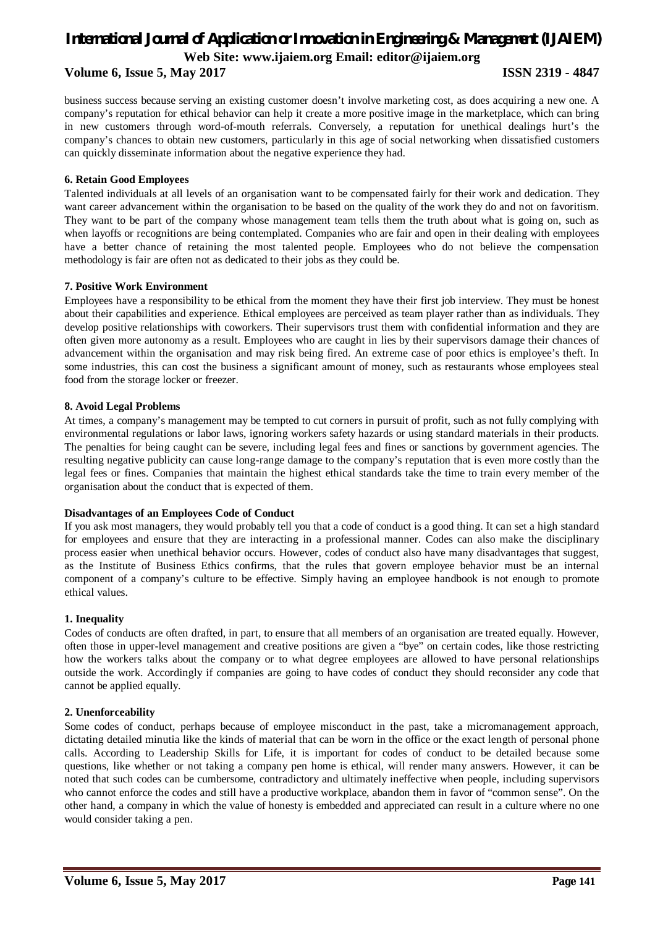# *International Journal of Application or Innovation in Engineering & Management (IJAIEM)* **Web Site: www.ijaiem.org Email: editor@ijaiem.org**

### **Volume 6, Issue 5, May 2017 ISSN 2319 - 4847**

business success because serving an existing customer doesn't involve marketing cost, as does acquiring a new one. A company's reputation for ethical behavior can help it create a more positive image in the marketplace, which can bring in new customers through word-of-mouth referrals. Conversely, a reputation for unethical dealings hurt's the company's chances to obtain new customers, particularly in this age of social networking when dissatisfied customers can quickly disseminate information about the negative experience they had.

#### **6. Retain Good Employees**

Talented individuals at all levels of an organisation want to be compensated fairly for their work and dedication. They want career advancement within the organisation to be based on the quality of the work they do and not on favoritism. They want to be part of the company whose management team tells them the truth about what is going on, such as when layoffs or recognitions are being contemplated. Companies who are fair and open in their dealing with employees have a better chance of retaining the most talented people. Employees who do not believe the compensation methodology is fair are often not as dedicated to their jobs as they could be.

#### **7. Positive Work Environment**

Employees have a responsibility to be ethical from the moment they have their first job interview. They must be honest about their capabilities and experience. Ethical employees are perceived as team player rather than as individuals. They develop positive relationships with coworkers. Their supervisors trust them with confidential information and they are often given more autonomy as a result. Employees who are caught in lies by their supervisors damage their chances of advancement within the organisation and may risk being fired. An extreme case of poor ethics is employee's theft. In some industries, this can cost the business a significant amount of money, such as restaurants whose employees steal food from the storage locker or freezer.

#### **8. Avoid Legal Problems**

At times, a company's management may be tempted to cut corners in pursuit of profit, such as not fully complying with environmental regulations or labor laws, ignoring workers safety hazards or using standard materials in their products. The penalties for being caught can be severe, including legal fees and fines or sanctions by government agencies. The resulting negative publicity can cause long-range damage to the company's reputation that is even more costly than the legal fees or fines. Companies that maintain the highest ethical standards take the time to train every member of the organisation about the conduct that is expected of them.

#### **Disadvantages of an Employees Code of Conduct**

If you ask most managers, they would probably tell you that a code of conduct is a good thing. It can set a high standard for employees and ensure that they are interacting in a professional manner. Codes can also make the disciplinary process easier when unethical behavior occurs. However, codes of conduct also have many disadvantages that suggest, as the Institute of Business Ethics confirms, that the rules that govern employee behavior must be an internal component of a company's culture to be effective. Simply having an employee handbook is not enough to promote ethical values.

#### **1. Inequality**

Codes of conducts are often drafted, in part, to ensure that all members of an organisation are treated equally. However, often those in upper-level management and creative positions are given a "bye" on certain codes, like those restricting how the workers talks about the company or to what degree employees are allowed to have personal relationships outside the work. Accordingly if companies are going to have codes of conduct they should reconsider any code that cannot be applied equally.

#### **2. Unenforceability**

Some codes of conduct, perhaps because of employee misconduct in the past, take a micromanagement approach, dictating detailed minutia like the kinds of material that can be worn in the office or the exact length of personal phone calls. According to Leadership Skills for Life, it is important for codes of conduct to be detailed because some questions, like whether or not taking a company pen home is ethical, will render many answers. However, it can be noted that such codes can be cumbersome, contradictory and ultimately ineffective when people, including supervisors who cannot enforce the codes and still have a productive workplace, abandon them in favor of "common sense". On the other hand, a company in which the value of honesty is embedded and appreciated can result in a culture where no one would consider taking a pen.